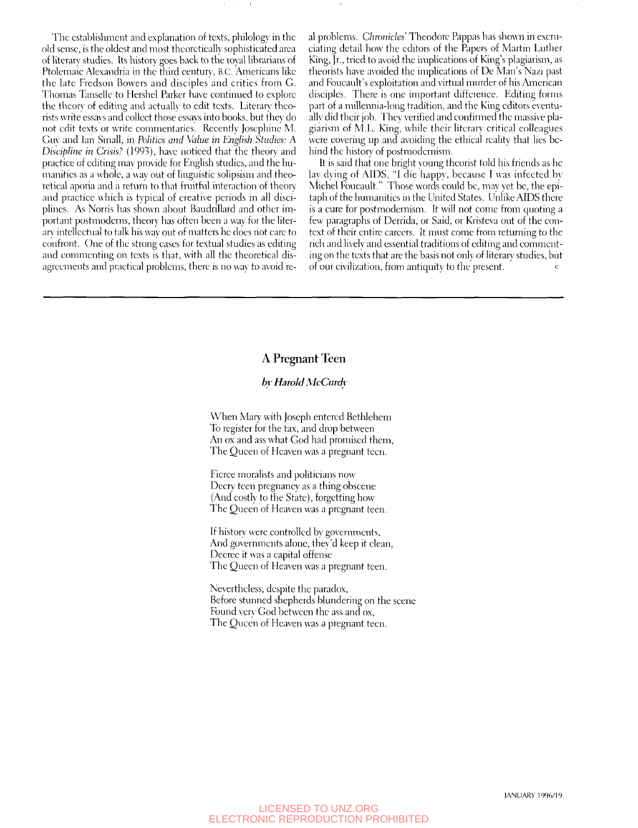The establishment and explanation of texts, philology in the old sense, is the oldest and most theoretically sophistieated area of literary studies. Its history goes back to the royal librarians of Ptolemaie Alexandria in the third eentury, B.C. Americans like the late Fredson Bowers and diseiples and critics from G. Thomas Tansellc to Flershel Parker haye continued to explore the theory of editing and actually to edit texts. Literary theorists write essays and collect those essays into books, but they do not edit texts or write commentaries. Recently Josephine M. Gu\- and Ian Small, in *Politics and Value in English Studies: A Discipline in Crisis?* (1993), have noticed that the theory and practice of editing may provide for English studies, and the humanities as a whole, a way out of linguistic solipsism and theoretical aporia and a return to that fruitful interaction of theory and practice which is typical of creative periods in all disciplines. As Norris has shown about Baudrillard and other important postmodcrns, theory has often been a way for the literar\ intellectual to talk his way out of matters he does not care to confront. One of the strong eases for textual studies as editing and commenting on texts is that, with all the theoretical disagreements and practical problems, there is no way to avoid real problems. *Chronicles'* Theodore Pappas has shown in excruciating detail how the editors of the Papers of Martin Luther King, Jr., tried to avoid the implications of King's plagiarism, as theorists have avoided the implications of Dc Man's Nazi past and Foucault's exploitation and virtual murder of his American disciples. There is one important difference. Editing forms part of a millennia-long tradition, and the King editors eventually did their job. They verified and confirmed the massive plagiarism of M.L. King, while their literary critical colleagues were covering up and avoiding the ethical reality that lies behind the history of postmodernism.

It is said that one bright young theorist told his friends as he lay dying of AIDS, "I die happy, because I was infected by Michel Foucault." Those words could be, may yet be, the epitaph of the humanities in the United States. Unlike AIDS there is a cure for postmodernism. It will not come from quoting a few paragraphs of Derrida, or Said, or Kristeva out of the context of their entire careers. It must come from returning to the rich and lively and essential traditions of editing and commenting on the texts that are the basis not only of literary studies, but of our civilization, from antiquity to the present.

## A Pregnant Teen

## *b\ Harold McCurdv*

When Mary with Joseph entered Bethlehem To register for the tax, and drop between An ox and ass what God had promised them. The Queen of Heaven was a pregnant teen.

Eicrce moralists and politicians now Decry teen pregnancy as a thing obscene (And costly to the State), forgetting how The Queen of Heaven was a pregnant teen.

If history were controlled bv governments. And governments alone, they'd keep it clean, Decree it was a capital offense The Queen of Heaven was a pregnant teen.

Nevertheless, despite the paradox, Before stunned shepherds blundering on the scene Found very God between the ass and ox, The Queen of Heaven was a pregnant teen.